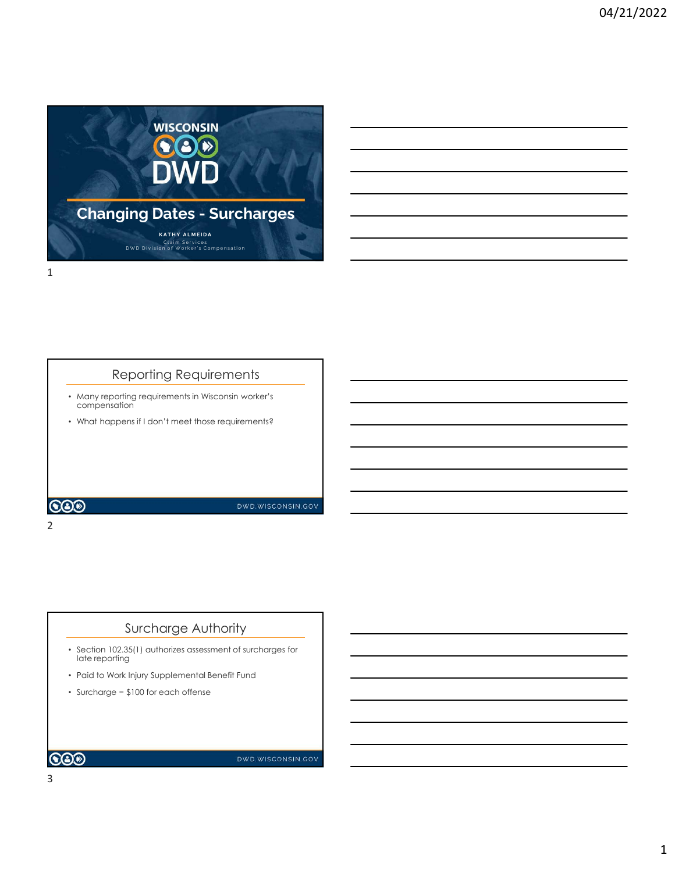

# Reporting Requirements

- Many reporting requirements in Wisconsin worker's compensation
- What happens if I don't meet those requirements?

COO

2 and 2 and 2 and 2 and 2 and 2 and 2 and 2 and 2 and 2 and 2 and 2 and 2 and 2 and 2 and 2 and 2 and 2 and 2

#### Surcharge Authority

- Section 102.35(1) authorizes assessment of surcharges for late reporting
- Paid to Work Injury Supplemental Benefit Fund
- Surcharge = \$100 for each offense

**COD** 

DWD.WISCONSIN.GOV

DWD.WISCONSIN.GOV

3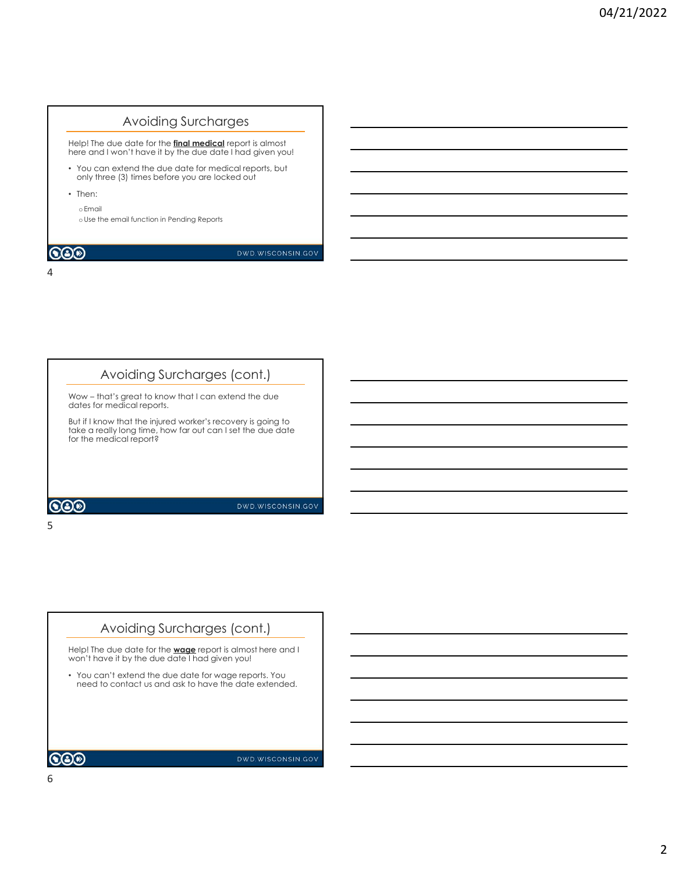### Avoiding Surcharges

Help! The due date for the <mark>final medical</mark> report is almost<br>here and I won't have it by the due date I had given you! \_\_\_\_\_\_\_\_\_\_\_\_\_\_\_\_\_\_\_\_\_\_

- You can extend the due date for medical reports, but only three (3) times before you are locked out
- Then:

oEmail

oUse the email function in Pending Reports

#### 4

#### Avoiding Surcharges (cont.)

dates for medical reports.

 $5<sub>5</sub>$ 

Avoiding Surcharges<br>
Help! The due adds for the **final medical** repart is almost<br>
there and I won't have it by the due date I had given you!<br>
only three (3) times before you are locked out<br>
only three (3) times before you But if I know that the injured worker's recovery is going to take a really long time, how far out can I set the due date for the medical report?

#### **COD**

DWD.WISCONSIN.GOV

# Avoiding Surcharges (cont.)

Help! The due date for the **wage** report is almost here and I won't have it by the due date I had given you!

• You can't extend the due date for wage reports. You need to contact us and ask to have the date extended.

 $\mathbf{CO}\mathcal{D}$ 

DWD.WISCONSIN.GOV

6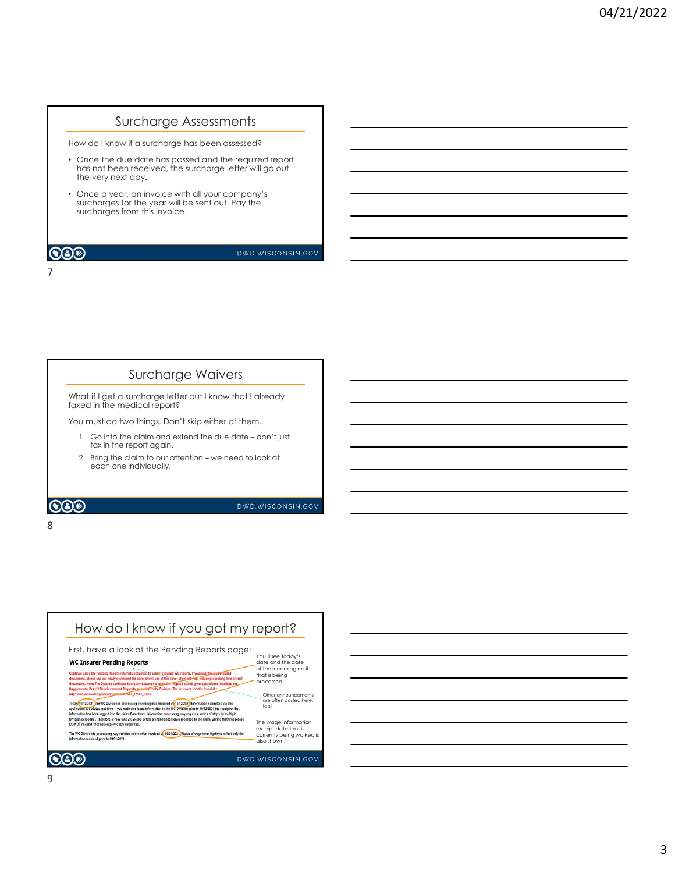#### Surcharge Assessments

How do I know if a surcharge has been assessed?

- Once the due date has passed and the required report has not been received, the surcharge letter will go out the very next day. the claim and the regular difference of the claim and the regular different properties are different model of the state of the control of the control of the control of the control of the control of the due of the due of th
- Once a year, an invoice with all your company's surcharges for the year will be sent out. Pay the surcharges from this invoice. The method of the method of the method of the claim to our analysis of the claim to our attention of the curriculate at the seart will be sent out. Pay the our company's contained at the seart out Pay the our attention – w

7

#### Surcharge Waivers

What if I get a surcharge letter but I know that I already faxed in the medical report?

You must do two things. Don't skip either of them.

8 and 2010 and 2010 and 2010 and 2010 and 2010 and 2010 and 2010 and 2010 and 2010 and 2010 and 2010 and 2010

- 1. Go into the claim and extend the due date don't just<br>fax in the report again.
- each one individually.

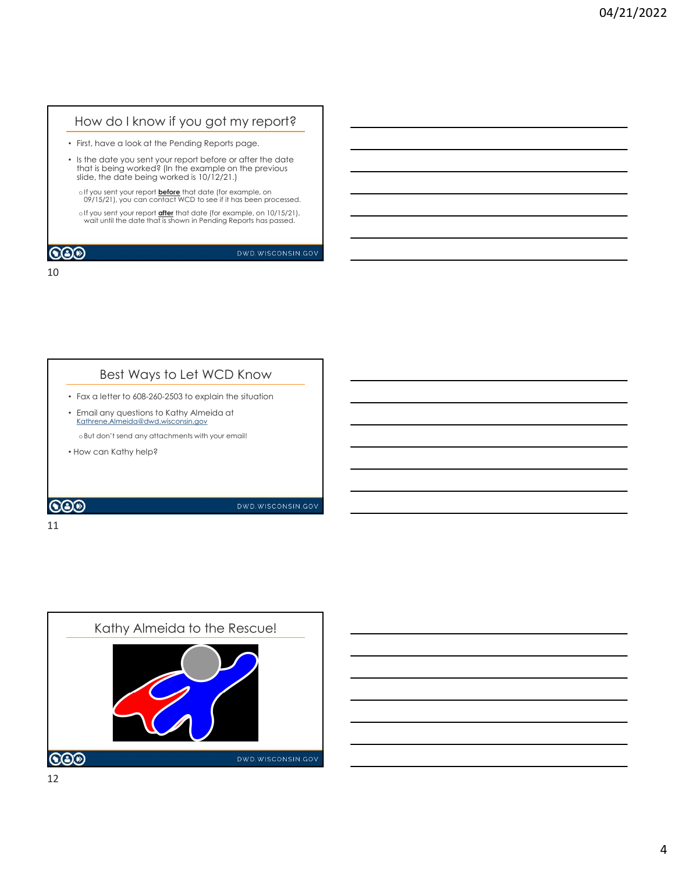## How do I know if you got my report?

- First, have a look at the Pending Reports page.
- Is the date you sent your report before or after the date that is being worked? (In the example on the previous slide, the date being worked is 10/12/21.)
	- oIf you sent your report <mark>before</mark> that date (for example, on **cancelled as a contact with the set of the set o**<br>09/15/21), you can contact WCD to see if it has been processed.
	- oIf you sent your report after that date (for example, on 10/15/21), wait until the date that is shown in Pending Reports has passed.

#### **COD**

DWD.WISCONSIN.GOV

#### 10

# Best Ways to Let WCD Know

- Fax a letter to 608-260-2503 to explain the situation
- Email any questions to Kathy Almeida at Kathrene.Almeida@dwd.wisconsin.gov

oBut don't send any attachments with your email!

• How can Kathy help?

#### $\bigcircledS$

DWD.WISCONSIN.GOV

#### 11